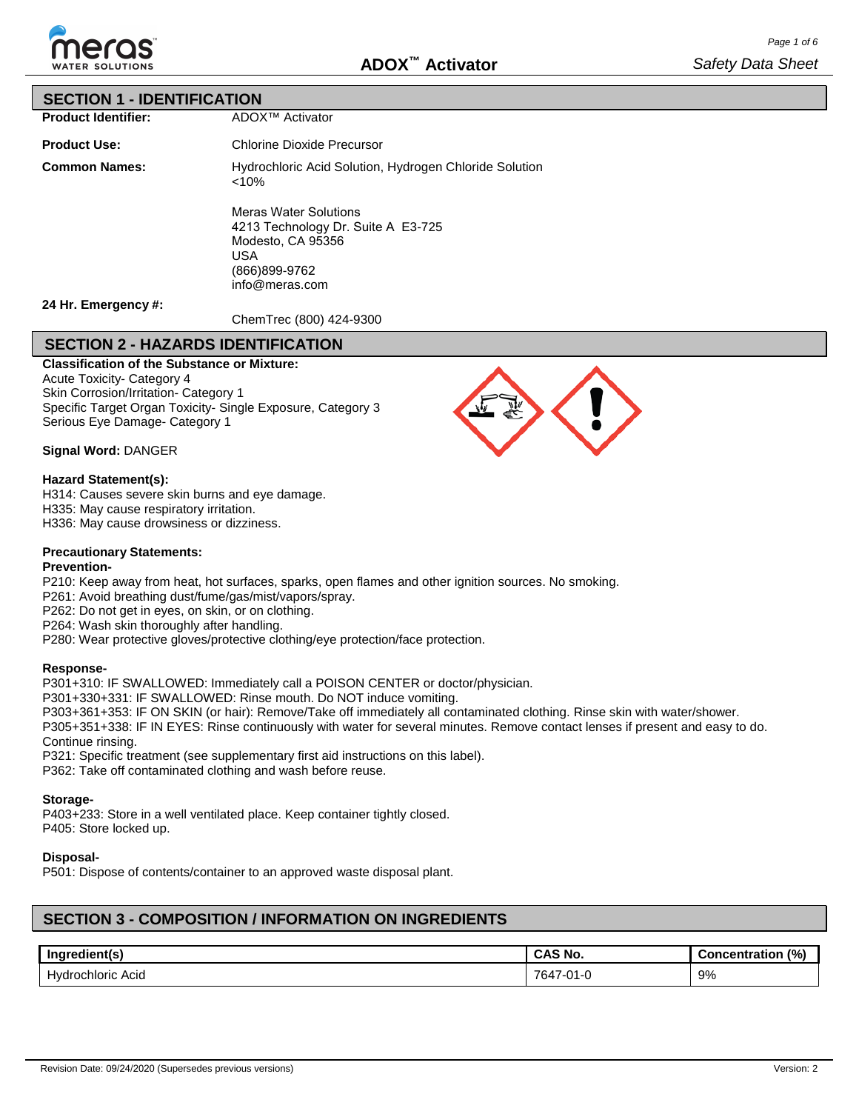

### **SECTION 1 - IDENTIFICATION**

**Product Identifier:**

**Product Use:**

**Common Names:** Chlorine Dioxide Precursor Hydrochloric Acid Solution, Hydrogen Chloride Solution <10% Meras Water Solutions 4213 Technology Dr. Suite A E3-725 Modesto, CA 95356 USA

(866)899-9762 info@meras.com

ADOX™ Activator

**24 Hr. Emergency #:**

ChemTrec (800) 424-9300

# **SECTION 2 - HAZARDS IDENTIFICATION**

**Classification of the Substance or Mixture:** Acute Toxicity- Category 4 Skin Corrosion/Irritation- Category 1 Specific Target Organ Toxicity- Single Exposure, Category 3 Serious Eye Damage- Category 1

**Signal Word:** DANGER

### **Hazard Statement(s):**

H314: Causes severe skin burns and eye damage.

H335: May cause respiratory irritation.

H336: May cause drowsiness or dizziness.

### **Precautionary Statements:**

#### **Prevention-**

P210: Keep away from heat, hot surfaces, sparks, open flames and other ignition sources. No smoking.

P261: Avoid breathing dust/fume/gas/mist/vapors/spray.

P262: Do not get in eyes, on skin, or on clothing.

P264: Wash skin thoroughly after handling.

P280: Wear protective gloves/protective clothing/eye protection/face protection.

### **Response-**

P301+310: IF SWALLOWED: Immediately call a POISON CENTER or doctor/physician.

P301+330+331: IF SWALLOWED: Rinse mouth. Do NOT induce vomiting.

P303+361+353: IF ON SKIN (or hair): Remove/Take off immediately all contaminated clothing. Rinse skin with water/shower.

P305+351+338: IF IN EYES: Rinse continuously with water for several minutes. Remove contact lenses if present and easy to do. Continue rinsing.

P321: Specific treatment (see supplementary first aid instructions on this label).

P362: Take off contaminated clothing and wash before reuse.

### **Storage-**

P403+233: Store in a well ventilated place. Keep container tightly closed. P405: Store locked up.

### **Disposal-**

P501: Dispose of contents/container to an approved waste disposal plant.

# **SECTION 3 - COMPOSITION / INFORMATION ON INGREDIENTS**

| Ingredient(s      | <b>CAS No.</b>                                        | (%)<br><b>Concentration</b> |
|-------------------|-------------------------------------------------------|-----------------------------|
| Hydrochloric Acid | 764,<br>$\mathsf{A}$<br>$\overline{\phantom{a}}$<br>u | 9%                          |

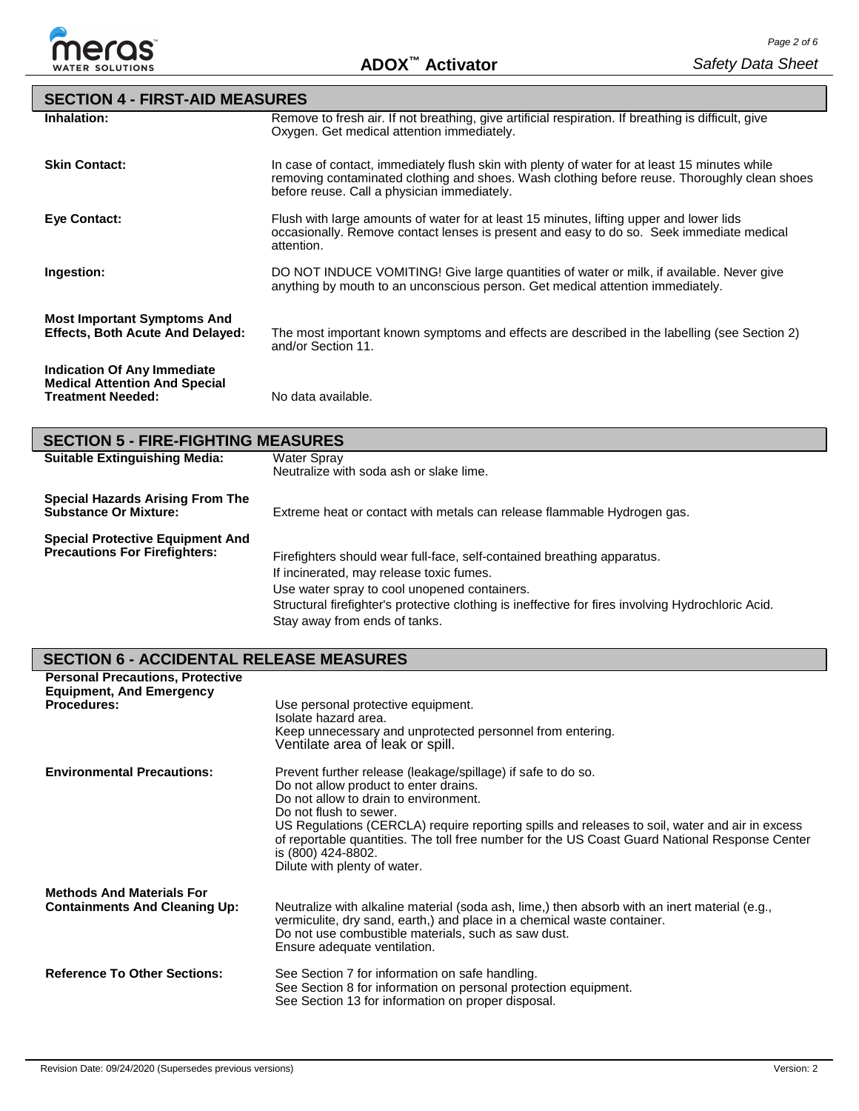

| <b>SECTION 4 - FIRST-AID MEASURES</b>                                         |                                                                                                                                                                                                                                              |
|-------------------------------------------------------------------------------|----------------------------------------------------------------------------------------------------------------------------------------------------------------------------------------------------------------------------------------------|
| Inhalation:                                                                   | Remove to fresh air. If not breathing, give artificial respiration. If breathing is difficult, give<br>Oxygen. Get medical attention immediately.                                                                                            |
| <b>Skin Contact:</b>                                                          | In case of contact, immediately flush skin with plenty of water for at least 15 minutes while<br>removing contaminated clothing and shoes. Wash clothing before reuse. Thoroughly clean shoes<br>before reuse. Call a physician immediately. |
| Eye Contact:                                                                  | Flush with large amounts of water for at least 15 minutes, lifting upper and lower lids<br>occasionally. Remove contact lenses is present and easy to do so. Seek immediate medical<br>attention.                                            |
| Ingestion:                                                                    | DO NOT INDUCE VOMITING! Give large quantities of water or milk, if available. Never give<br>anything by mouth to an unconscious person. Get medical attention immediately.                                                                   |
| <b>Most Important Symptoms And</b><br><b>Effects, Both Acute And Delayed:</b> | The most important known symptoms and effects are described in the labelling (see Section 2)<br>and/or Section 11.                                                                                                                           |
| Indication Of Any Immediate<br><b>Medical Attention And Special</b>           |                                                                                                                                                                                                                                              |

**Treatment Needed:** No data available.

| <b>SECTION 5 - FIRE-FIGHTING MEASURES</b>                                       |                                                                                                                                                                                                                                                                                                            |  |  |  |  |
|---------------------------------------------------------------------------------|------------------------------------------------------------------------------------------------------------------------------------------------------------------------------------------------------------------------------------------------------------------------------------------------------------|--|--|--|--|
| <b>Suitable Extinguishing Media:</b>                                            | Water Spray<br>Neutralize with soda ash or slake lime.                                                                                                                                                                                                                                                     |  |  |  |  |
| <b>Special Hazards Arising From The</b><br><b>Substance Or Mixture:</b>         | Extreme heat or contact with metals can release flammable Hydrogen gas.                                                                                                                                                                                                                                    |  |  |  |  |
| <b>Special Protective Equipment And</b><br><b>Precautions For Firefighters:</b> | Firefighters should wear full-face, self-contained breathing apparatus.<br>If incinerated, may release toxic fumes.<br>Use water spray to cool unopened containers.<br>Structural firefighter's protective clothing is ineffective for fires involving Hydrochloric Acid.<br>Stay away from ends of tanks. |  |  |  |  |

# **SECTION 6 - ACCIDENTAL RELEASE MEASURES**

| <b>Personal Precautions, Protective</b><br><b>Equipment, And Emergency</b><br><b>Procedures:</b> | Use personal protective equipment.<br>Isolate hazard area.<br>Keep unnecessary and unprotected personnel from entering.<br>Ventilate area of leak or spill.                                                                                                                                                                                                                                                                        |
|--------------------------------------------------------------------------------------------------|------------------------------------------------------------------------------------------------------------------------------------------------------------------------------------------------------------------------------------------------------------------------------------------------------------------------------------------------------------------------------------------------------------------------------------|
| <b>Environmental Precautions:</b>                                                                | Prevent further release (leakage/spillage) if safe to do so.<br>Do not allow product to enter drains.<br>Do not allow to drain to environment.<br>Do not flush to sewer.<br>US Regulations (CERCLA) require reporting spills and releases to soil, water and air in excess<br>of reportable quantities. The toll free number for the US Coast Guard National Response Center<br>is (800) 424-8802.<br>Dilute with plenty of water. |
| <b>Methods And Materials For</b><br><b>Containments And Cleaning Up:</b>                         | Neutralize with alkaline material (soda ash, lime,) then absorb with an inert material (e.g.,<br>vermiculite, dry sand, earth,) and place in a chemical waste container.<br>Do not use combustible materials, such as saw dust.<br>Ensure adequate ventilation.                                                                                                                                                                    |
| <b>Reference To Other Sections:</b>                                                              | See Section 7 for information on safe handling.<br>See Section 8 for information on personal protection equipment.<br>See Section 13 for information on proper disposal.                                                                                                                                                                                                                                                           |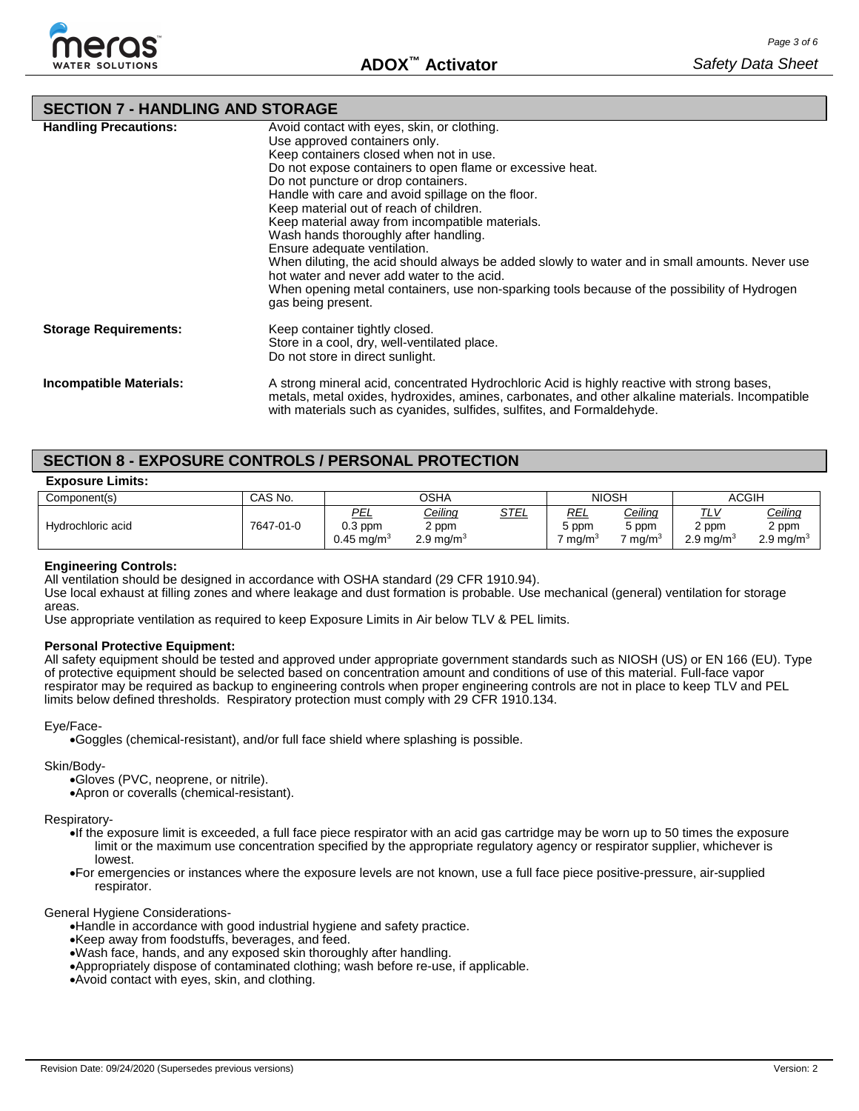

### **SECTION 7 - HANDLING AND STORAGE**

| <b>Handling Precautions:</b> | Avoid contact with eyes, skin, or clothing.<br>Use approved containers only.<br>Keep containers closed when not in use.<br>Do not expose containers to open flame or excessive heat.<br>Do not puncture or drop containers.<br>Handle with care and avoid spillage on the floor.<br>Keep material out of reach of children.<br>Keep material away from incompatible materials.<br>Wash hands thoroughly after handling.<br>Ensure adequate ventilation.<br>When diluting, the acid should always be added slowly to water and in small amounts. Never use<br>hot water and never add water to the acid.<br>When opening metal containers, use non-sparking tools because of the possibility of Hydrogen<br>gas being present. |
|------------------------------|-------------------------------------------------------------------------------------------------------------------------------------------------------------------------------------------------------------------------------------------------------------------------------------------------------------------------------------------------------------------------------------------------------------------------------------------------------------------------------------------------------------------------------------------------------------------------------------------------------------------------------------------------------------------------------------------------------------------------------|
| <b>Storage Requirements:</b> | Keep container tightly closed.<br>Store in a cool, dry, well-ventilated place.<br>Do not store in direct sunlight.                                                                                                                                                                                                                                                                                                                                                                                                                                                                                                                                                                                                            |
| Incompatible Materials:      | A strong mineral acid, concentrated Hydrochloric Acid is highly reactive with strong bases,<br>metals, metal oxides, hydroxides, amines, carbonates, and other alkaline materials. Incompatible<br>with materials such as cyanides, sulfides, sulfites, and Formaldehyde.                                                                                                                                                                                                                                                                                                                                                                                                                                                     |

### **SECTION 8 - EXPOSURE CONTROLS / PERSONAL PROTECTION**

| <b>Exposure Limits:</b> |  |
|-------------------------|--|
|-------------------------|--|

| Component(s)      | CAS No.   | OSHA                                      |                                                    |             | <b>NIOSH</b>          |                                       | <b>ACGIH</b>                                |                                                    |
|-------------------|-----------|-------------------------------------------|----------------------------------------------------|-------------|-----------------------|---------------------------------------|---------------------------------------------|----------------------------------------------------|
| Hydrochloric acid | 7647-01-0 | PEL<br>$0.3$ ppm<br>$0.45 \text{ mq/m}^3$ | <u>Ceiling</u><br>$2$ ppm<br>2.9 mg/m <sup>3</sup> | <u>STEL</u> | REL<br>5 ppm<br>ma/mª | Ceiling<br>5 ppm<br>ma/m <sup>3</sup> | <u>TLV</u><br>2 ppm<br>$2.9 \text{ ma/m}^3$ | <u>Ceiling</u><br>2 ppm<br>$2.9 \,\mathrm{mg/m^3}$ |

#### **Engineering Controls:**

All ventilation should be designed in accordance with OSHA standard (29 CFR 1910.94).

Use local exhaust at filling zones and where leakage and dust formation is probable. Use mechanical (general) ventilation for storage areas.

Use appropriate ventilation as required to keep Exposure Limits in Air below TLV & PEL limits.

#### **Personal Protective Equipment:**

All safety equipment should be tested and approved under appropriate government standards such as NIOSH (US) or EN 166 (EU). Type of protective equipment should be selected based on concentration amount and conditions of use of this material. Full-face vapor respirator may be required as backup to engineering controls when proper engineering controls are not in place to keep TLV and PEL limits below defined thresholds. Respiratory protection must comply with 29 CFR 1910.134.

#### Eye/Face-

•Goggles (chemical-resistant), and/or full face shield where splashing is possible.

#### Skin/Body-

•Gloves (PVC, neoprene, or nitrile).

•Apron or coveralls (chemical-resistant).

#### Respiratory-

- •If the exposure limit is exceeded, a full face piece respirator with an acid gas cartridge may be worn up to 50 times the exposure limit or the maximum use concentration specified by the appropriate regulatory agency or respirator supplier, whichever is lowest.
- •For emergencies or instances where the exposure levels are not known, use a full face piece positive-pressure, air-supplied respirator.

#### General Hygiene Considerations-

•Handle in accordance with good industrial hygiene and safety practice.

- •Keep away from foodstuffs, beverages, and feed.
- •Wash face, hands, and any exposed skin thoroughly after handling.
- •Appropriately dispose of contaminated clothing; wash before re-use, if applicable.
- •Avoid contact with eyes, skin, and clothing.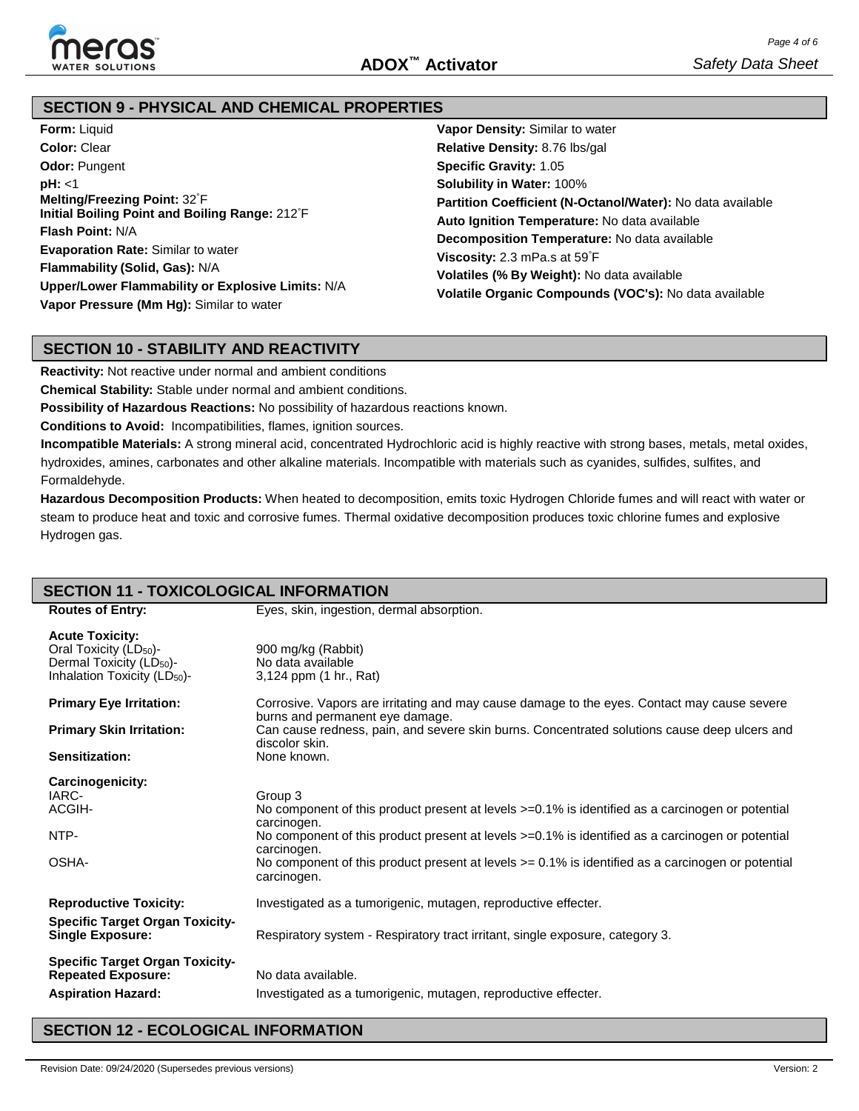

### **SECTION 9 - PHYSICAL AND CHEMICAL PROPERTIES**

| <b>Form: Liquid</b>                               | Vapor Density: Similar to water                                                                                                                                                                                                                                                                                           |  |  |  |  |
|---------------------------------------------------|---------------------------------------------------------------------------------------------------------------------------------------------------------------------------------------------------------------------------------------------------------------------------------------------------------------------------|--|--|--|--|
| <b>Color: Clear</b>                               | Relative Density: 8.76 lbs/gal                                                                                                                                                                                                                                                                                            |  |  |  |  |
| <b>Odor: Pungent</b>                              | <b>Specific Gravity: 1.05</b>                                                                                                                                                                                                                                                                                             |  |  |  |  |
| pH: < 1                                           | <b>Solubility in Water: 100%</b>                                                                                                                                                                                                                                                                                          |  |  |  |  |
| Melting/Freezing Point: 32°F                      | Partition Coefficient (N-Octanol/Water): No data available<br>Auto Ignition Temperature: No data available<br><b>Decomposition Temperature:</b> No data available<br><b>Viscosity:</b> 2.3 mPa.s at $59^{\circ}$ F<br>Volatiles (% By Weight): No data available<br>Volatile Organic Compounds (VOC's): No data available |  |  |  |  |
| Initial Boiling Point and Boiling Range: 212°F    |                                                                                                                                                                                                                                                                                                                           |  |  |  |  |
| <b>Flash Point: N/A</b>                           |                                                                                                                                                                                                                                                                                                                           |  |  |  |  |
| <b>Evaporation Rate: Similar to water</b>         |                                                                                                                                                                                                                                                                                                                           |  |  |  |  |
| Flammability (Solid, Gas): N/A                    |                                                                                                                                                                                                                                                                                                                           |  |  |  |  |
| Upper/Lower Flammability or Explosive Limits: N/A |                                                                                                                                                                                                                                                                                                                           |  |  |  |  |
| Vapor Pressure (Mm Hg): Similar to water          |                                                                                                                                                                                                                                                                                                                           |  |  |  |  |

### **SECTION 10 - STABILITY AND REACTIVITY**

**Reactivity:** Not reactive under normal and ambient conditions

**Chemical Stability:** Stable under normal and ambient conditions.

**Possibility of Hazardous Reactions:** No possibility of hazardous reactions known.

**Conditions to Avoid:** Incompatibilities, flames, ignition sources.

**Incompatible Materials:** A strong mineral acid, concentrated Hydrochloric acid is highly reactive with strong bases, metals, metal oxides, hydroxides, amines, carbonates and other alkaline materials. Incompatible with materials such as cyanides, sulfides, sulfites, and Formaldehyde.

**Hazardous Decomposition Products:** When heated to decomposition, emits toxic Hydrogen Chloride fumes and will react with water or steam to produce heat and toxic and corrosive fumes. Thermal oxidative decomposition produces toxic chlorine fumes and explosive Hydrogen gas.

# **SECTION 11 - TOXICOLOGICAL INFORMATION**

| <b>Routes of Entry:</b>                                                                                                                          | Eyes, skin, ingestion, dermal absorption.                                                                                      |
|--------------------------------------------------------------------------------------------------------------------------------------------------|--------------------------------------------------------------------------------------------------------------------------------|
|                                                                                                                                                  |                                                                                                                                |
| <b>Acute Toxicity:</b><br>Oral Toxicity (LD <sub>50</sub> )-<br>Dermal Toxicity (LD <sub>50</sub> )-<br>Inhalation Toxicity (LD <sub>50</sub> )- | 900 mg/kg (Rabbit)<br>No data available<br>3,124 ppm (1 hr., Rat)                                                              |
|                                                                                                                                                  |                                                                                                                                |
| <b>Primary Eye Irritation:</b>                                                                                                                   | Corrosive. Vapors are irritating and may cause damage to the eyes. Contact may cause severe<br>burns and permanent eye damage. |
| <b>Primary Skin Irritation:</b>                                                                                                                  | Can cause redness, pain, and severe skin burns. Concentrated solutions cause deep ulcers and<br>discolor skin.                 |
| Sensitization:                                                                                                                                   | None known.                                                                                                                    |
| Carcinogenicity:                                                                                                                                 |                                                                                                                                |
| IARC-                                                                                                                                            | Group 3                                                                                                                        |
| ACGIH-                                                                                                                                           | No component of this product present at levels $>=0.1\%$ is identified as a carcinogen or potential<br>carcinogen.             |
| NTP-                                                                                                                                             | No component of this product present at levels $>=0.1\%$ is identified as a carcinogen or potential<br>carcinogen.             |
| OSHA-                                                                                                                                            | No component of this product present at levels $\ge$ 0.1% is identified as a carcinogen or potential<br>carcinogen.            |
| <b>Reproductive Toxicity:</b>                                                                                                                    | Investigated as a tumorigenic, mutagen, reproductive effecter.                                                                 |
| <b>Specific Target Organ Toxicity-</b><br><b>Single Exposure:</b>                                                                                | Respiratory system - Respiratory tract irritant, single exposure, category 3.                                                  |
|                                                                                                                                                  |                                                                                                                                |
| <b>Specific Target Organ Toxicity-</b>                                                                                                           |                                                                                                                                |
| <b>Repeated Exposure:</b>                                                                                                                        | No data available.                                                                                                             |
| <b>Aspiration Hazard:</b>                                                                                                                        | Investigated as a tumorigenic, mutagen, reproductive effecter.                                                                 |

### **SECTION 12 - ECOLOGICAL INFORMATION**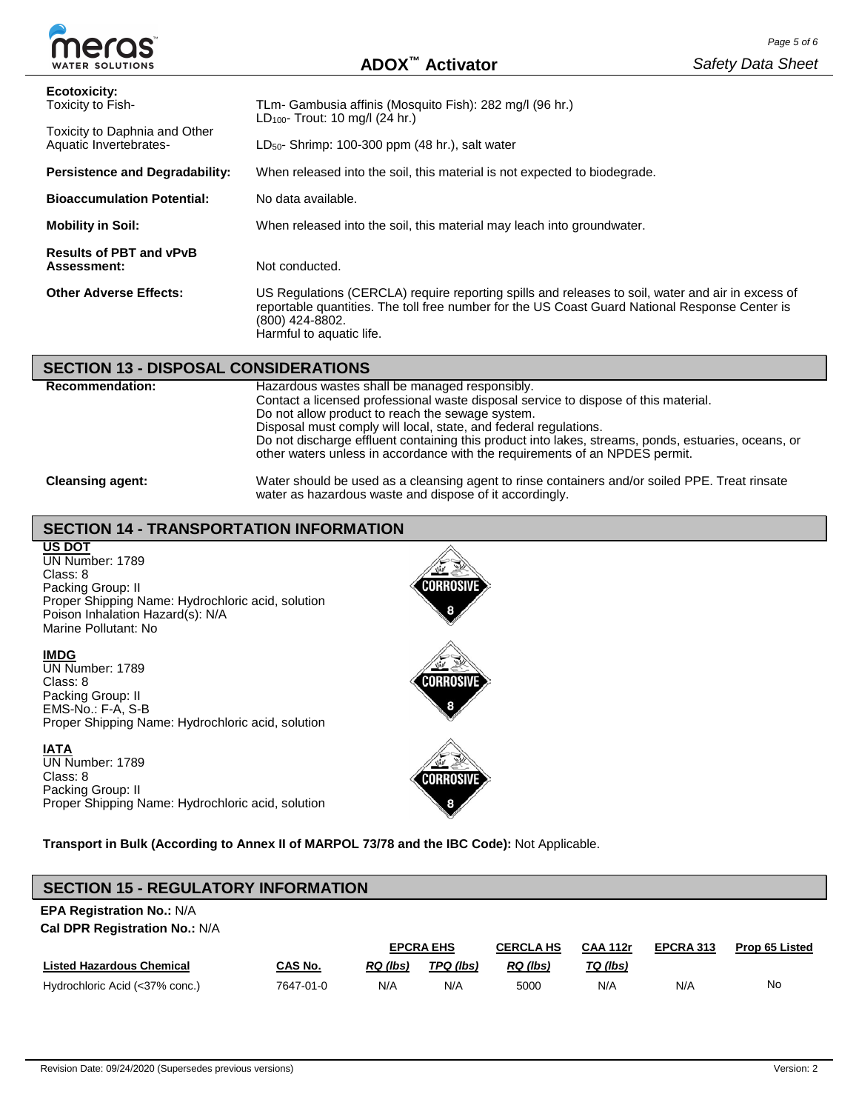| meras                                                                                        |                                                                                                                                                                                                                                                    | Page 5 of 6              |  |  |  |
|----------------------------------------------------------------------------------------------|----------------------------------------------------------------------------------------------------------------------------------------------------------------------------------------------------------------------------------------------------|--------------------------|--|--|--|
| <b>WATER SOLUTIONS</b>                                                                       | ADOX <sup>™</sup> Activator                                                                                                                                                                                                                        | <b>Safety Data Sheet</b> |  |  |  |
| Ecotoxicity:<br>Toxicity to Fish-<br>Toxicity to Daphnia and Other<br>Aquatic Invertebrates- | TLm- Gambusia affinis (Mosquito Fish): 282 mg/l (96 hr.)<br>$LD_{100}$ - Trout: 10 mg/l (24 hr.)<br>$LD50$ - Shrimp: 100-300 ppm (48 hr.), salt water                                                                                              |                          |  |  |  |
| <b>Persistence and Degradability:</b>                                                        | When released into the soil, this material is not expected to biodegrade.                                                                                                                                                                          |                          |  |  |  |
| <b>Bioaccumulation Potential:</b>                                                            | No data available.                                                                                                                                                                                                                                 |                          |  |  |  |
| <b>Mobility in Soil:</b>                                                                     | When released into the soil, this material may leach into groundwater.                                                                                                                                                                             |                          |  |  |  |
| <b>Results of PBT and vPvB</b><br>Assessment:                                                | Not conducted.                                                                                                                                                                                                                                     |                          |  |  |  |
| <b>Other Adverse Effects:</b>                                                                | US Regulations (CERCLA) require reporting spills and releases to soil, water and air in excess of<br>reportable quantities. The toll free number for the US Coast Guard National Response Center is<br>(800) 424-8802.<br>Harmful to aquatic life. |                          |  |  |  |

### **SECTION 13 - DISPOSAL CONSIDERATIONS**

| <b>Recommendation:</b>  | Hazardous wastes shall be managed responsibly.<br>Contact a licensed professional waste disposal service to dispose of this material.<br>Do not allow product to reach the sewage system.<br>Disposal must comply will local, state, and federal regulations.<br>Do not discharge effluent containing this product into lakes, streams, ponds, estuaries, oceans, or<br>other waters unless in accordance with the requirements of an NPDES permit. |
|-------------------------|-----------------------------------------------------------------------------------------------------------------------------------------------------------------------------------------------------------------------------------------------------------------------------------------------------------------------------------------------------------------------------------------------------------------------------------------------------|
| <b>Cleansing agent:</b> | Water should be used as a cleansing agent to rinse containers and/or soiled PPE. Treat rinsate<br>water as hazardous waste and dispose of it accordingly.                                                                                                                                                                                                                                                                                           |

# **SECTION 14 - TRANSPORTATION INFORMATION**

**US DOT**

UN Number: 1789 Class: 8 Packing Group: II Proper Shipping Name: Hydrochloric acid, solution Poison Inhalation Hazard(s): N/A Marine Pollutant: No.

### **IMDG**

UN Number: 1789 Class: 8 Packing Group: II EMS-No.: F-A, S-B Proper Shipping Name: Hydrochloric acid, solution

### **IATA**

UN Number: 1789 Class: 8 Packing Group: II Proper Shipping Name: Hydrochloric acid, solution



# **SECTION 15 - REGULATORY INFORMATION**

# **EPA Registration No.:** N/A

**Cal DPR Registration No.:** N/A

|                                  |           | <b>EPCRA EHS</b> |           | <b>CAA 112r</b><br><b>CERCLA HS</b> |          | EPCRA 313 | <b>Prop 65 Listed</b> |
|----------------------------------|-----------|------------------|-----------|-------------------------------------|----------|-----------|-----------------------|
| <b>Listed Hazardous Chemical</b> | CAS No.   | RQ (lbs)         | TPQ (lbs) | RQ (lbs)                            | TQ (lbs) |           |                       |
| Hydrochloric Acid (<37% conc.)   | 7647-01-0 | N/A              | N/A       | 5000                                | N/A      | N/A       | No                    |



**CORROSIV**